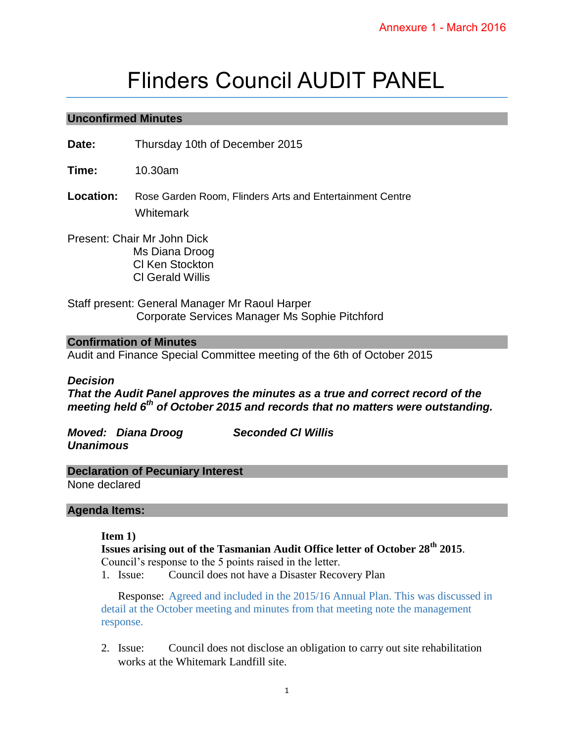# Flinders Council AUDIT PANEL

## **Unconfirmed Minutes**

**Date:** Thursday 10th of December 2015

**Time:** 10.30am

**Location:** Rose Garden Room, Flinders Arts and Entertainment Centre **Whitemark** 

Present: Chair Mr John Dick Ms Diana Droog Cl Ken Stockton Cl Gerald Willis

Staff present: General Manager Mr Raoul Harper Corporate Services Manager Ms Sophie Pitchford

## **Confirmation of Minutes**

Audit and Finance Special Committee meeting of the 6th of October 2015

#### *Decision*

*That the Audit Panel approves the minutes as a true and correct record of the meeting held 6th of October 2015 and records that no matters were outstanding.* 

*Moved: Diana Droog Seconded Cl Willis Unanimous* 

# **Declaration of Pecuniary Interest**

None declared

#### **Agenda Items:**

#### **Item 1)**

**Issues arising out of the Tasmanian Audit Office letter of October 28th 2015**. Council's response to the 5 points raised in the letter.

1. Issue: Council does not have a Disaster Recovery Plan

Response: Agreed and included in the 2015/16 Annual Plan. This was discussed in detail at the October meeting and minutes from that meeting note the management response.

2. Issue: Council does not disclose an obligation to carry out site rehabilitation works at the Whitemark Landfill site.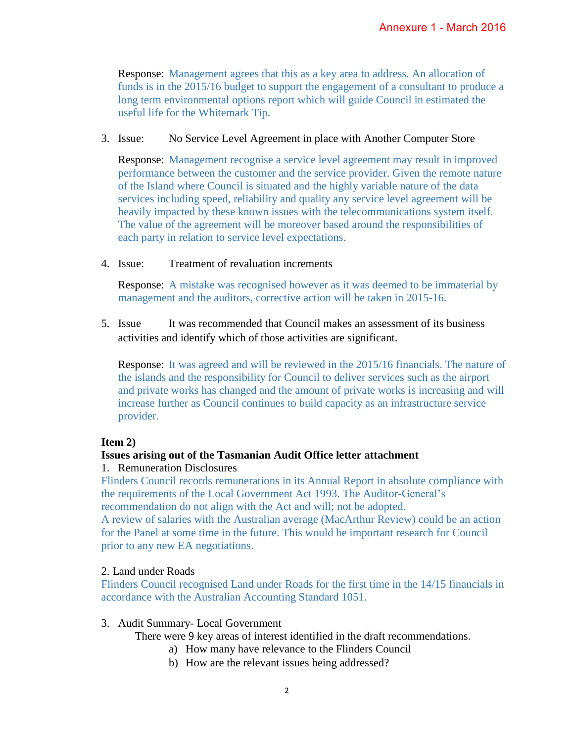Response: Management agrees that this as a key area to address. An allocation of funds is in the 2015/16 budget to support the engagement of a consultant to produce a long term environmental options report which will guide Council in estimated the useful life for the Whitemark Tip.

## 3. Issue: No Service Level Agreement in place with Another Computer Store

Response: Management recognise a service level agreement may result in improved performance between the customer and the service provider. Given the remote nature of the Island where Council is situated and the highly variable nature of the data services including speed, reliability and quality any service level agreement will be heavily impacted by these known issues with the telecommunications system itself. The value of the agreement will be moreover based around the responsibilities of each party in relation to service level expectations.

4. Issue: Treatment of revaluation increments

Response: A mistake was recognised however as it was deemed to be immaterial by management and the auditors, corrective action will be taken in 2015-16.

5. Issue It was recommended that Council makes an assessment of its business activities and identify which of those activities are significant.

Response: It was agreed and will be reviewed in the 2015/16 financials. The nature of the islands and the responsibility for Council to deliver services such as the airport and private works has changed and the amount of private works is increasing and will increase further as Council continues to build capacity as an infrastructure service provider.

# **Item 2)**

# **Issues arising out of the Tasmanian Audit Office letter attachment**

# 1. Remuneration Disclosures

Flinders Council records remunerations in its Annual Report in absolute compliance with the requirements of the Local Government Act 1993. The Auditor-General's recommendation do not align with the Act and will; not be adopted.

A review of salaries with the Australian average (MacArthur Review) could be an action for the Panel at some time in the future. This would be important research for Council prior to any new EA negotiations.

# 2. Land under Roads

Flinders Council recognised Land under Roads for the first time in the 14/15 financials in accordance with the Australian Accounting Standard 1051.

3. Audit Summary- Local Government

There were 9 key areas of interest identified in the draft recommendations.

- a) How many have relevance to the Flinders Council
- b) How are the relevant issues being addressed?